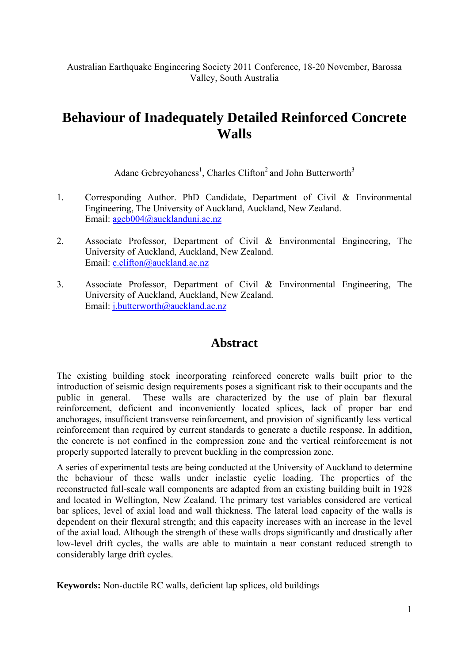Australian Earthquake Engineering Society 2011 Conference, 18-20 November, Barossa Valley, South Australia

# **Behaviour of Inadequately Detailed Reinforced Concrete Walls**

Adane Gebreyohaness<sup>1</sup>, Charles Clifton<sup>2</sup> and John Butterworth<sup>3</sup>

- 1. Corresponding Author. PhD Candidate, Department of Civil & Environmental Engineering, The University of Auckland, Auckland, New Zealand. Email: ageb004@aucklanduni.ac.nz
- 2. Associate Professor, Department of Civil & Environmental Engineering, The University of Auckland, Auckland, New Zealand. Email: c.clifton@auckland.ac.nz
- 3. Associate Professor, Department of Civil & Environmental Engineering, The University of Auckland, Auckland, New Zealand. Email: j.butterworth@auckland.ac.nz

# **Abstract**

The existing building stock incorporating reinforced concrete walls built prior to the introduction of seismic design requirements poses a significant risk to their occupants and the public in general. These walls are characterized by the use of plain bar flexural reinforcement, deficient and inconveniently located splices, lack of proper bar end anchorages, insufficient transverse reinforcement, and provision of significantly less vertical reinforcement than required by current standards to generate a ductile response. In addition, the concrete is not confined in the compression zone and the vertical reinforcement is not properly supported laterally to prevent buckling in the compression zone.

A series of experimental tests are being conducted at the University of Auckland to determine the behaviour of these walls under inelastic cyclic loading. The properties of the reconstructed full-scale wall components are adapted from an existing building built in 1928 and located in Wellington, New Zealand. The primary test variables considered are vertical bar splices, level of axial load and wall thickness. The lateral load capacity of the walls is dependent on their flexural strength; and this capacity increases with an increase in the level of the axial load. Although the strength of these walls drops significantly and drastically after low-level drift cycles, the walls are able to maintain a near constant reduced strength to considerably large drift cycles.

**Keywords:** Non-ductile RC walls, deficient lap splices, old buildings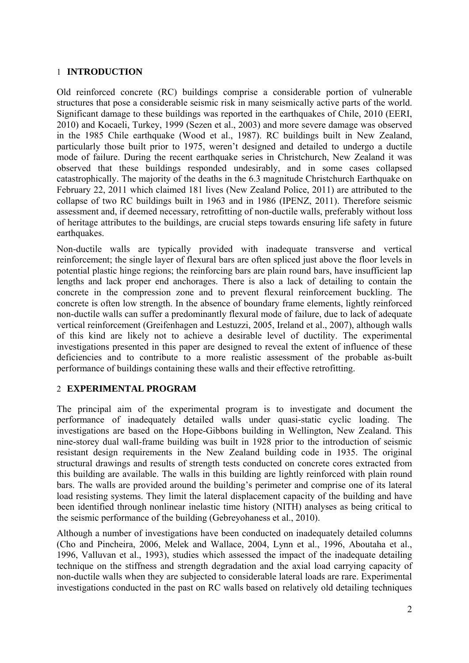# 1 **INTRODUCTION**

Old reinforced concrete (RC) buildings comprise a considerable portion of vulnerable structures that pose a considerable seismic risk in many seismically active parts of the world. Significant damage to these buildings was reported in the earthquakes of Chile, 2010 (EERI, 2010) and Kocaeli, Turkey, 1999 (Sezen et al., 2003) and more severe damage was observed in the 1985 Chile earthquake (Wood et al., 1987). RC buildings built in New Zealand, particularly those built prior to 1975, weren't designed and detailed to undergo a ductile mode of failure. During the recent earthquake series in Christchurch, New Zealand it was observed that these buildings responded undesirably, and in some cases collapsed catastrophically. The majority of the deaths in the 6.3 magnitude Christchurch Earthquake on February 22, 2011 which claimed 181 lives (New Zealand Police, 2011) are attributed to the collapse of two RC buildings built in 1963 and in 1986 (IPENZ, 2011). Therefore seismic assessment and, if deemed necessary, retrofitting of non-ductile walls, preferably without loss of heritage attributes to the buildings, are crucial steps towards ensuring life safety in future earthquakes.

Non-ductile walls are typically provided with inadequate transverse and vertical reinforcement; the single layer of flexural bars are often spliced just above the floor levels in potential plastic hinge regions; the reinforcing bars are plain round bars, have insufficient lap lengths and lack proper end anchorages. There is also a lack of detailing to contain the concrete in the compression zone and to prevent flexural reinforcement buckling. The concrete is often low strength. In the absence of boundary frame elements, lightly reinforced non-ductile walls can suffer a predominantly flexural mode of failure, due to lack of adequate vertical reinforcement (Greifenhagen and Lestuzzi, 2005, Ireland et al., 2007), although walls of this kind are likely not to achieve a desirable level of ductility. The experimental investigations presented in this paper are designed to reveal the extent of influence of these deficiencies and to contribute to a more realistic assessment of the probable as-built performance of buildings containing these walls and their effective retrofitting.

# 2 **EXPERIMENTAL PROGRAM**

The principal aim of the experimental program is to investigate and document the performance of inadequately detailed walls under quasi-static cyclic loading. The investigations are based on the Hope-Gibbons building in Wellington, New Zealand. This nine-storey dual wall-frame building was built in 1928 prior to the introduction of seismic resistant design requirements in the New Zealand building code in 1935. The original structural drawings and results of strength tests conducted on concrete cores extracted from this building are available. The walls in this building are lightly reinforced with plain round bars. The walls are provided around the building's perimeter and comprise one of its lateral load resisting systems. They limit the lateral displacement capacity of the building and have been identified through nonlinear inelastic time history (NITH) analyses as being critical to the seismic performance of the building (Gebreyohaness et al., 2010).

Although a number of investigations have been conducted on inadequately detailed columns (Cho and Pincheira, 2006, Melek and Wallace, 2004, Lynn et al., 1996, Aboutaha et al., 1996, Valluvan et al., 1993), studies which assessed the impact of the inadequate detailing technique on the stiffness and strength degradation and the axial load carrying capacity of non-ductile walls when they are subjected to considerable lateral loads are rare. Experimental investigations conducted in the past on RC walls based on relatively old detailing techniques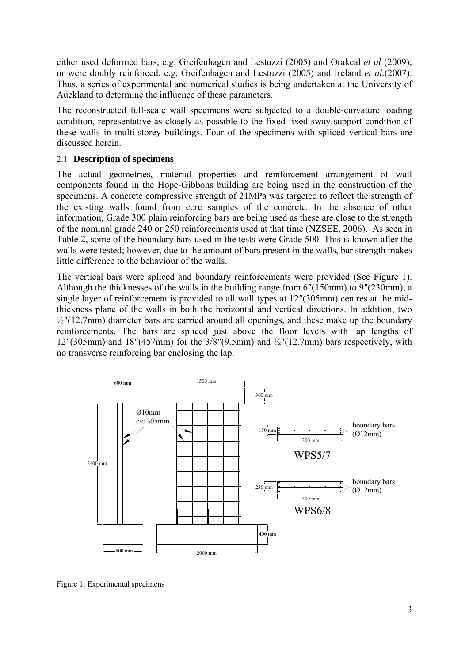either used deformed bars, e.g. Greifenhagen and Lestuzzi (2005) and Orakcal *et al* (2009); or were doubly reinforced, e.g. Greifenhagen and Lestuzzi (2005) and Ireland *et al.*(2007). Thus, a series of experimental and numerical studies is being undertaken at the University of Auckland to determine the influence of these parameters.

The reconstructed full-scale wall specimens were subjected to a double-curvature loading condition, representative as closely as possible to the fixed-fixed sway support condition of these walls in multi-storey buildings. Four of the specimens with spliced vertical bars are discussed herein.

### 2.1 **Description of specimens**

The actual geometries, material properties and reinforcement arrangement of wall components found in the Hope-Gibbons building are being used in the construction of the specimens. A concrete compressive strength of 21MPa was targeted to reflect the strength of the existing walls found from core samples of the concrete. In the absence of other information, Grade 300 plain reinforcing bars are being used as these are close to the strength of the nominal grade 240 or 250 reinforcements used at that time (NZSEE, 2006). As seen in Table 2, some of the boundary bars used in the tests were Grade 500. This is known after the walls were tested; however, due to the amount of bars present in the walls, bar strength makes little difference to the behaviour of the walls.

The vertical bars were spliced and boundary reinforcements were provided (See Figure 1). Although the thicknesses of the walls in the building range from 6″(150mm) to 9″(230mm), a single layer of reinforcement is provided to all wall types at 12″(305mm) centres at the midthickness plane of the walls in both the horizontal and vertical directions. In addition, two  $\frac{1}{2}$ "(12.7mm) diameter bars are carried around all openings, and these make up the boundary reinforcements. The bars are spliced just above the floor levels with lap lengths of  $12^{\prime\prime}(305\text{mm})$  and  $18^{\prime\prime}(457\text{mm})$  for the  $3/8^{\prime\prime}(9.5\text{mm})$  and  $\frac{1}{2}^{\prime\prime}(12.7\text{mm})$  bars respectively, with no transverse reinforcing bar enclosing the lap.



Figure 1: Experimental specimens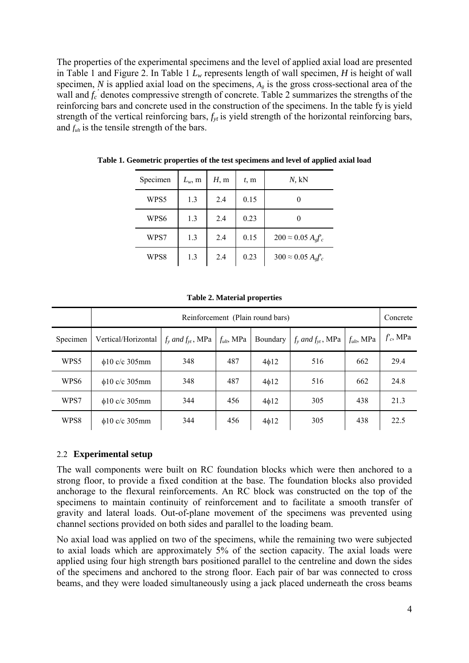The properties of the experimental specimens and the level of applied axial load are presented in Table 1 and Figure 2. In Table 1  $L<sub>w</sub>$  represents length of wall specimen, *H* is height of wall specimen, *N* is applied axial load on the specimens,  $A_{g}$  is the gross cross-sectional area of the wall and  $f_c$ <sup>'</sup> denotes compressive strength of concrete. Table 2 summarizes the strengths of the reinforcing bars and concrete used in the construction of the specimens. In the table fy is yield strength of the vertical reinforcing bars,  $f_{yt}$  is yield strength of the horizontal reinforcing bars, and  $f_{ub}$  is the tensile strength of the bars.

| Specimen | $L_w$ , m | H, m | t, m | $N$ , $kN$                             |
|----------|-----------|------|------|----------------------------------------|
| WPS5     | 1.3       | 2.4  | 0.15 |                                        |
| WPS6     | 1.3       | 2.4  | 0.23 |                                        |
| WPS7     | 1.3       | 2.4  | 0.15 | $200 \approx 0.05 A_{\rm g} f_{\rm c}$ |
| WPS8     | 1.3       | 2.4  | 0.23 | $300 \approx 0.05 A_{e}f_{c}$          |

**Table 1. Geometric properties of the test specimens and level of applied axial load** 

|  |  | Table 2. Material properties |
|--|--|------------------------------|
|--|--|------------------------------|

|          | Reinforcement (Plain round bars) |                            |                 |            |                          |                 | Concrete    |
|----------|----------------------------------|----------------------------|-----------------|------------|--------------------------|-----------------|-------------|
| Specimen | Vertical/Horizontal              | $f_{v}$ and $f_{vt}$ , MPa | $f_{ult}$ , MPa | Boundary   | $f_v$ and $f_{vt}$ , MPa | $f_{ult}$ , MPa | $f_c$ , MPa |
| WPS5     | $\phi$ 10 c/c 305mm              | 348                        | 487             | $4\phi$ 12 | 516                      | 662             | 29.4        |
| WPS6     | $\phi$ 10 c/c 305mm              | 348                        | 487             | $4\phi$ 12 | 516                      | 662             | 24.8        |
| WPS7     | $\phi$ 10 c/c 305mm              | 344                        | 456             | $4\phi$ 12 | 305                      | 438             | 21.3        |
| WPS8     | $\phi$ 10 c/c 305mm              | 344                        | 456             | $4\phi$ 12 | 305                      | 438             | 22.5        |

#### 2.2 **Experimental setup**

The wall components were built on RC foundation blocks which were then anchored to a strong floor, to provide a fixed condition at the base. The foundation blocks also provided anchorage to the flexural reinforcements. An RC block was constructed on the top of the specimens to maintain continuity of reinforcement and to facilitate a smooth transfer of gravity and lateral loads. Out-of-plane movement of the specimens was prevented using channel sections provided on both sides and parallel to the loading beam.

No axial load was applied on two of the specimens, while the remaining two were subjected to axial loads which are approximately 5% of the section capacity. The axial loads were applied using four high strength bars positioned parallel to the centreline and down the sides of the specimens and anchored to the strong floor. Each pair of bar was connected to cross beams, and they were loaded simultaneously using a jack placed underneath the cross beams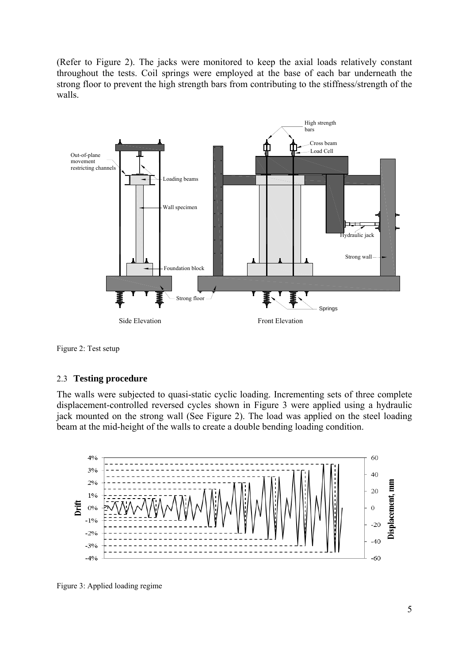(Refer to Figure 2). The jacks were monitored to keep the axial loads relatively constant throughout the tests. Coil springs were employed at the base of each bar underneath the strong floor to prevent the high strength bars from contributing to the stiffness/strength of the walls.





#### 2.3 **Testing procedure**

The walls were subjected to quasi-static cyclic loading. Incrementing sets of three complete displacement-controlled reversed cycles shown in Figure 3 were applied using a hydraulic jack mounted on the strong wall (See Figure 2). The load was applied on the steel loading beam at the mid-height of the walls to create a double bending loading condition.



Figure 3: Applied loading regime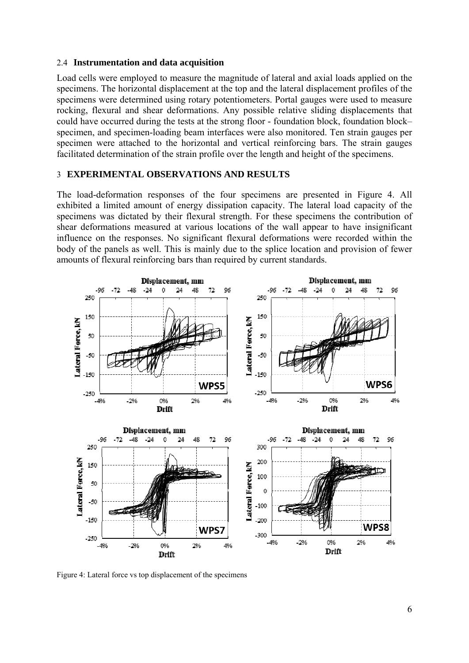#### 2.4 **Instrumentation and data acquisition**

Load cells were employed to measure the magnitude of lateral and axial loads applied on the specimens. The horizontal displacement at the top and the lateral displacement profiles of the specimens were determined using rotary potentiometers. Portal gauges were used to measure rocking, flexural and shear deformations. Any possible relative sliding displacements that could have occurred during the tests at the strong floor - foundation block, foundation block– specimen, and specimen-loading beam interfaces were also monitored. Ten strain gauges per specimen were attached to the horizontal and vertical reinforcing bars. The strain gauges facilitated determination of the strain profile over the length and height of the specimens.

#### 3 **EXPERIMENTAL OBSERVATIONS AND RESULTS**

The load-deformation responses of the four specimens are presented in Figure 4. All exhibited a limited amount of energy dissipation capacity. The lateral load capacity of the specimens was dictated by their flexural strength. For these specimens the contribution of shear deformations measured at various locations of the wall appear to have insignificant influence on the responses. No significant flexural deformations were recorded within the body of the panels as well. This is mainly due to the splice location and provision of fewer amounts of flexural reinforcing bars than required by current standards.



Figure 4: Lateral force vs top displacement of the specimens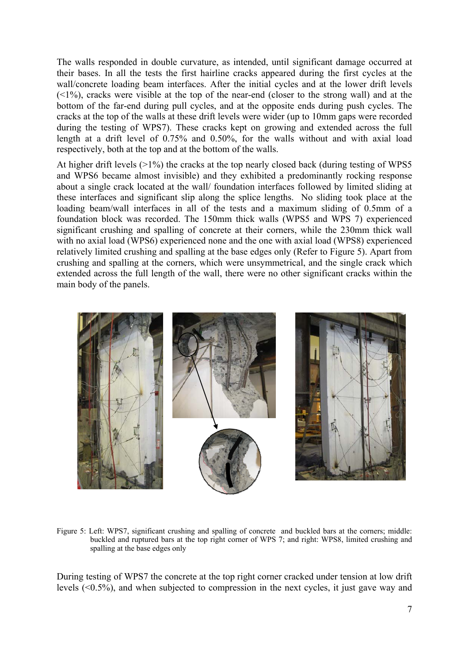The walls responded in double curvature, as intended, until significant damage occurred at their bases. In all the tests the first hairline cracks appeared during the first cycles at the wall/concrete loading beam interfaces. After the initial cycles and at the lower drift levels  $(\leq 1\%)$ , cracks were visible at the top of the near-end (closer to the strong wall) and at the bottom of the far-end during pull cycles, and at the opposite ends during push cycles. The cracks at the top of the walls at these drift levels were wider (up to 10mm gaps were recorded during the testing of WPS7). These cracks kept on growing and extended across the full length at a drift level of 0.75% and 0.50%, for the walls without and with axial load respectively, both at the top and at the bottom of the walls.

At higher drift levels ( $>1\%$ ) the cracks at the top nearly closed back (during testing of WPS5 and WPS6 became almost invisible) and they exhibited a predominantly rocking response about a single crack located at the wall/ foundation interfaces followed by limited sliding at these interfaces and significant slip along the splice lengths. No sliding took place at the loading beam/wall interfaces in all of the tests and a maximum sliding of 0.5mm of a foundation block was recorded. The 150mm thick walls (WPS5 and WPS 7) experienced significant crushing and spalling of concrete at their corners, while the 230mm thick wall with no axial load (WPS6) experienced none and the one with axial load (WPS8) experienced relatively limited crushing and spalling at the base edges only (Refer to Figure 5). Apart from crushing and spalling at the corners, which were unsymmetrical, and the single crack which extended across the full length of the wall, there were no other significant cracks within the main body of the panels.



Figure 5: Left: WPS7, significant crushing and spalling of concrete and buckled bars at the corners; middle: buckled and ruptured bars at the top right corner of WPS 7; and right: WPS8, limited crushing and spalling at the base edges only

During testing of WPS7 the concrete at the top right corner cracked under tension at low drift levels (<0.5%), and when subjected to compression in the next cycles, it just gave way and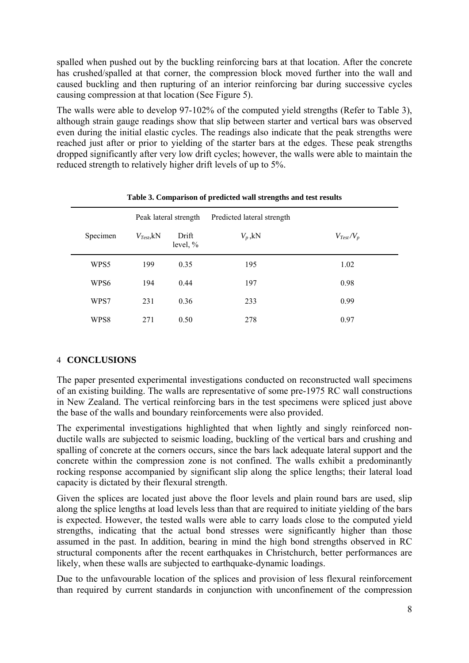spalled when pushed out by the buckling reinforcing bars at that location. After the concrete has crushed/spalled at that corner, the compression block moved further into the wall and caused buckling and then rupturing of an interior reinforcing bar during successive cycles causing compression at that location (See Figure 5).

The walls were able to develop 97-102% of the computed yield strengths (Refer to Table 3), although strain gauge readings show that slip between starter and vertical bars was observed even during the initial elastic cycles. The readings also indicate that the peak strengths were reached just after or prior to yielding of the starter bars at the edges. These peak strengths dropped significantly after very low drift cycles; however, the walls were able to maintain the reduced strength to relatively higher drift levels of up to 5%.

|          | Peak lateral strength    |                     | Predicted lateral strength |                |
|----------|--------------------------|---------------------|----------------------------|----------------|
| Specimen | $V_{Test}$ <sub>kN</sub> | Drift<br>level, $%$ | $V_p$ , kN                 | $V_{Test}/V_p$ |
| WPS5     | 199                      | 0.35                | 195                        | 1.02           |
| WPS6     | 194                      | 0.44                | 197                        | 0.98           |
| WPS7     | 231                      | 0.36                | 233                        | 0.99           |
| WPS8     | 271                      | 0.50                | 278                        | 0.97           |

**Table 3. Comparison of predicted wall strengths and test results** 

# 4 **CONCLUSIONS**

The paper presented experimental investigations conducted on reconstructed wall specimens of an existing building. The walls are representative of some pre-1975 RC wall constructions in New Zealand. The vertical reinforcing bars in the test specimens were spliced just above the base of the walls and boundary reinforcements were also provided.

The experimental investigations highlighted that when lightly and singly reinforced nonductile walls are subjected to seismic loading, buckling of the vertical bars and crushing and spalling of concrete at the corners occurs, since the bars lack adequate lateral support and the concrete within the compression zone is not confined. The walls exhibit a predominantly rocking response accompanied by significant slip along the splice lengths; their lateral load capacity is dictated by their flexural strength.

Given the splices are located just above the floor levels and plain round bars are used, slip along the splice lengths at load levels less than that are required to initiate yielding of the bars is expected. However, the tested walls were able to carry loads close to the computed yield strengths, indicating that the actual bond stresses were significantly higher than those assumed in the past. In addition, bearing in mind the high bond strengths observed in RC structural components after the recent earthquakes in Christchurch, better performances are likely, when these walls are subjected to earthquake-dynamic loadings.

Due to the unfavourable location of the splices and provision of less flexural reinforcement than required by current standards in conjunction with unconfinement of the compression